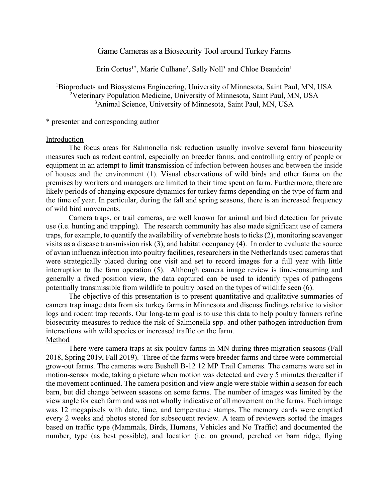## Game Cameras as a Biosecurity Tool around Turkey Farms

Erin Cortus<sup>1\*</sup>, Marie Culhane<sup>2</sup>, Sally Noll<sup>3</sup> and Chloe Beaudoin<sup>1</sup>

<sup>1</sup>Bioproducts and Biosystems Engineering, University of Minnesota, Saint Paul, MN, USA <sup>2</sup>Veterinary Population Medicine, University of Minnesota, Saint Paul, MN, USA <sup>3</sup>Animal Science, University of Minnesota, Saint Paul, MN, USA

\* presenter and corresponding author

## Introduction

The focus areas for Salmonella risk reduction usually involve several farm biosecurity measures such as rodent control, especially on breeder farms, and controlling entry of people or equipment in an attempt to limit transmission of infection between houses and between the inside of houses and the environment (1). Visual observations of wild birds and other fauna on the premises by workers and managers are limited to their time spent on farm. Furthermore, there are likely periods of changing exposure dynamics for turkey farms depending on the type of farm and the time of year. In particular, during the fall and spring seasons, there is an increased frequency of wild bird movements.

Camera traps, or trail cameras, are well known for animal and bird detection for private use (i.e. hunting and trapping). The research community has also made significant use of camera traps, for example, to quantify the availability of vertebrate hosts to ticks (2), monitoring scavenger visits as a disease transmission risk (3), and habitat occupancy (4). In order to evaluate the source of avian influenza infection into poultry facilities, researchers in the Netherlands used cameras that were strategically placed during one visit and set to record images for a full year with little interruption to the farm operation (5). Although camera image review is time-consuming and generally a fixed position view, the data captured can be used to identify types of pathogens potentially transmissible from wildlife to poultry based on the types of wildlife seen (6).

The objective of this presentation is to present quantitative and qualitative summaries of camera trap image data from six turkey farms in Minnesota and discuss findings relative to visitor logs and rodent trap records. Our long-term goal is to use this data to help poultry farmers refine biosecurity measures to reduce the risk of Salmonella spp. and other pathogen introduction from interactions with wild species or increased traffic on the farm. Method

There were camera traps at six poultry farms in MN during three migration seasons (Fall 2018, Spring 2019, Fall 2019). Three of the farms were breeder farms and three were commercial grow-out farms. The cameras were Bushell B-12 12 MP Trail Cameras. The cameras were set in motion-sensor mode, taking a picture when motion was detected and every 5 minutes thereafter if the movement continued. The camera position and view angle were stable within a season for each barn, but did change between seasons on some farms. The number of images was limited by the view angle for each farm and was not wholly indicative of all movement on the farms. Each image was 12 megapixels with date, time, and temperature stamps. The memory cards were emptied every 2 weeks and photos stored for subsequent review. A team of reviewers sorted the images based on traffic type (Mammals, Birds, Humans, Vehicles and No Traffic) and documented the number, type (as best possible), and location (i.e. on ground, perched on barn ridge, flying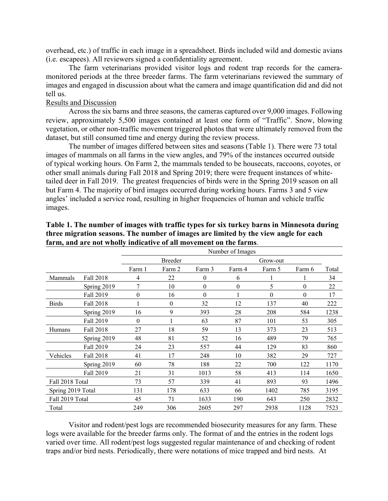overhead, etc.) of traffic in each image in a spreadsheet. Birds included wild and domestic avians (i.e. escapees). All reviewers signed a confidentiality agreement.

The farm veterinarians provided visitor logs and rodent trap records for the cameramonitored periods at the three breeder farms. The farm veterinarians reviewed the summary of images and engaged in discussion about what the camera and image quantification did and did not tell us.

## Results and Discussion

Across the six barns and three seasons, the cameras captured over 9,000 images. Following review, approximately 5,500 images contained at least one form of "Traffic". Snow, blowing vegetation, or other non-traffic movement triggered photos that were ultimately removed from the dataset, but still consumed time and energy during the review process.

The number of images differed between sites and seasons (Table 1). There were 73 total images of mammals on all farms in the view angles, and 79% of the instances occurred outside of typical working hours. On Farm 2, the mammals tended to be housecats, raccoons, coyotes, or other small animals during Fall 2018 and Spring 2019; there were frequent instances of whitetailed deer in Fall 2019. The greatest frequencies of birds were in the Spring 2019 season on all but Farm 4. The majority of bird images occurred during working hours. Farms 3 and 5 view angles' included a service road, resulting in higher frequencies of human and vehicle traffic images.

|                   |                  | Number of Images |        |                  |                  |          |        |       |
|-------------------|------------------|------------------|--------|------------------|------------------|----------|--------|-------|
|                   |                  | Breeder          |        |                  | Grow-out         |          |        |       |
|                   |                  | Farm 1           | Farm 2 | Farm 3           | Farm 4           | Farm 5   | Farm 6 | Total |
| Mammals           | <b>Fall 2018</b> | 4                | 22     | $\boldsymbol{0}$ | 6                |          |        | 34    |
|                   | Spring 2019      | 7                | 10     | $\boldsymbol{0}$ | $\boldsymbol{0}$ | 5        | 0      | 22    |
|                   | Fall 2019        | $\boldsymbol{0}$ | 16     | $\boldsymbol{0}$ |                  | $\theta$ | 0      | 17    |
| <b>Birds</b>      | <b>Fall 2018</b> |                  | 0      | 32               | 12               | 137      | 40     | 222   |
|                   | Spring 2019      | 16               | 9      | 393              | 28               | 208      | 584    | 1238  |
|                   | Fall 2019        | $\theta$         |        | 63               | 87               | 101      | 53     | 305   |
| Humans            | <b>Fall 2018</b> | 27               | 18     | 59               | 13               | 373      | 23     | 513   |
|                   | Spring 2019      | 48               | 81     | 52               | 16               | 489      | 79     | 765   |
|                   | Fall 2019        | 24               | 23     | 557              | 44               | 129      | 83     | 860   |
| Vehicles          | Fall 2018        | 41               | 17     | 248              | 10               | 382      | 29     | 727   |
|                   | Spring 2019      | 60               | 78     | 188              | 22               | 700      | 122    | 1170  |
|                   | Fall 2019        | 21               | 31     | 1013             | 58               | 413      | 114    | 1650  |
| Fall 2018 Total   |                  | 73               | 57     | 339              | 41               | 893      | 93     | 1496  |
| Spring 2019 Total |                  | 131              | 178    | 633              | 66               | 1402     | 785    | 3195  |
| Fall 2019 Total   |                  | 45               | 71     | 1633             | 190              | 643      | 250    | 2832  |
| Total             |                  | 249              | 306    | 2605             | 297              | 2938     | 1128   | 7523  |

## **Table 1. The number of images with traffic types for six turkey barns in Minnesota during three migration seasons. The number of images are limited by the view angle for each farm, and are not wholly indicative of all movement on the farms**.

Visitor and rodent/pest logs are recommended biosecurity measures for any farm. These logs were available for the breeder farms only. The format of and the entries in the rodent logs varied over time. All rodent/pest logs suggested regular maintenance of and checking of rodent traps and/or bird nests. Periodically, there were notations of mice trapped and bird nests. At